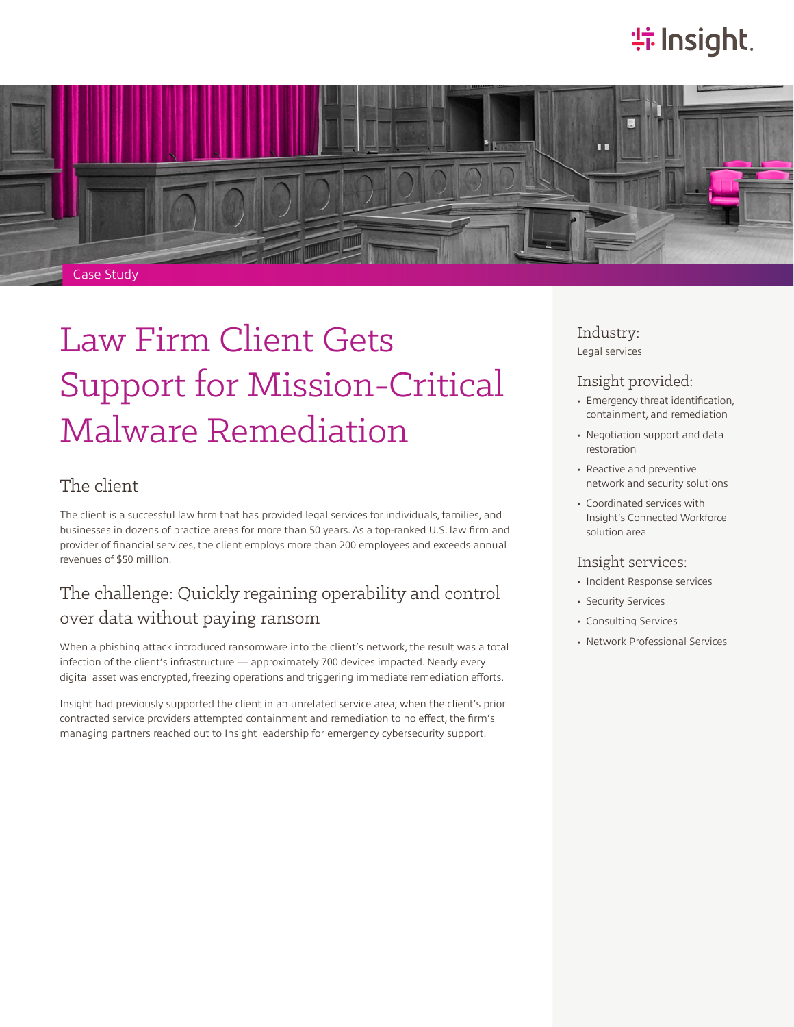# **特Insight**.



# Law Firm Client Gets Support for Mission-Critical Malware Remediation

## The client

The client is a successful law firm that has provided legal services for individuals, families, and businesses in dozens of practice areas for more than 50 years. As a top-ranked U.S. law firm and provider of financial services, the client employs more than 200 employees and exceeds annual revenues of \$50 million.

## The challenge: Quickly regaining operability and control over data without paying ransom

When a phishing attack introduced ransomware into the client's network, the result was a total infection of the client's infrastructure — approximately 700 devices impacted. Nearly every digital asset was encrypted, freezing operations and triggering immediate remediation efforts.

Insight had previously supported the client in an unrelated service area; when the client's prior contracted service providers attempted containment and remediation to no effect, the firm's managing partners reached out to Insight leadership for emergency cybersecurity support.

Industry: Legal services

### Insight provided:

- Emergency threat identification, containment, and remediation
- Negotiation support and data restoration
- Reactive and preventive network and security solutions
- Coordinated services with Insight's Connected Workforce solution area

### Insight services:

- Incident Response services
- Security Services
- Consulting Services
- Network Professional Services